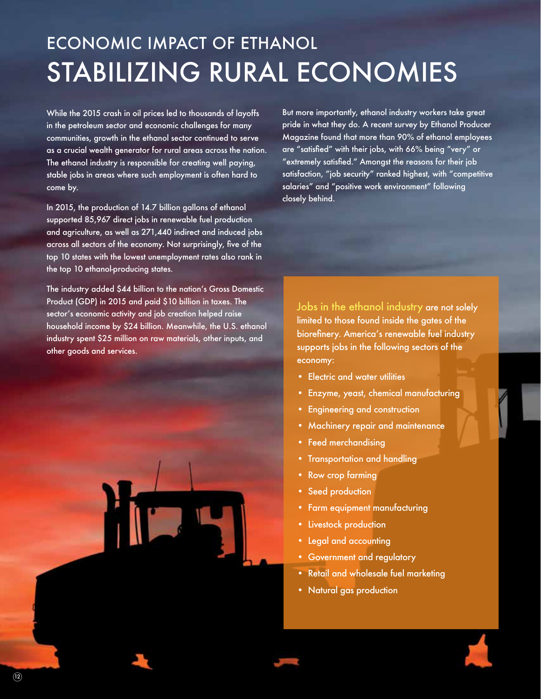## ECONOMIC IMPACT OF ETHANOL STABILIZING RURAL ECONOMIES

While the 2015 crash in oil prices led to thousands of layoffs in the petroleum sector and economic challenges for many communities, growth in the ethanol sector continued to serve as a crucial wealth generator for rural areas across the nation. The ethanol industry is responsible for creating well paying, stable jobs in areas where such employment is often hard to come by.

In 2015, the production of 14.7 billion gallons of ethanol supported 85,967 direct jobs in renewable fuel production and agriculture, as well as 271,440 indirect and induced jobs across all sectors of the economy. Not surprisingly, five of the top 10 states with the lowest unemployment rates also rank in the top 10 ethanol-producing states.

The industry added \$44 billion to the nation's Gross Domestic Product (GDP) in 2015 and paid \$10 billion in taxes. The sector's economic activity and job creation helped raise household income by \$24 billion. Meanwhile, the U.S. ethanol industry spent \$25 million on raw materials, other inputs, and other goods and services.

But more importantly, ethanol industry workers take great pride in what they do. A recent survey by Ethanol Producer Magazine found that more than 90% of ethanol employees are "satisfied" with their jobs, with 66% being "very" or "extremely satisfied." Amongst the reasons for their job satisfaction, "job security" ranked highest, with "competitive salaries" and "positive work environment" following closely behind.

Jobs in the ethanol industry are not solely limited to those found inside the gates of the biorefinery. America's renewable fuel industry supports jobs in the following sectors of the economy:

- Electric and water utilities
- Enzyme, yeast, chemical manufacturing
- Engineering and construction
- Machinery repair and maintenance
- Feed merchandising
- Transportation and handling
- Row crop farming
- Seed production
- Farm equipment manufacturing
- Livestock production
- Legal and accounting
- Government and regulatory
- Retail and wholesale fuel marketing
- Natural gas production